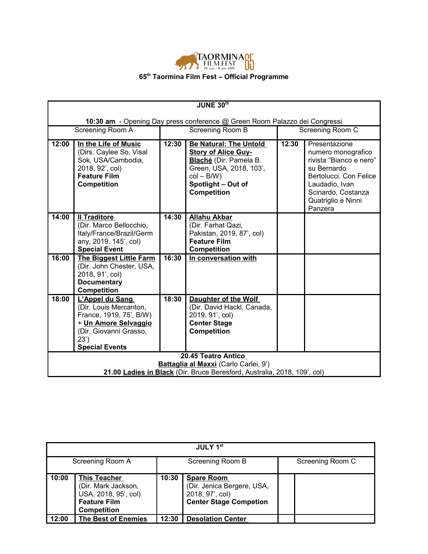

|       | JUNE 30th                                                                                                                                               |       |                                                                                                                                                                               |       |                                                                                                                                                                                  |  |
|-------|---------------------------------------------------------------------------------------------------------------------------------------------------------|-------|-------------------------------------------------------------------------------------------------------------------------------------------------------------------------------|-------|----------------------------------------------------------------------------------------------------------------------------------------------------------------------------------|--|
|       |                                                                                                                                                         |       |                                                                                                                                                                               |       |                                                                                                                                                                                  |  |
|       |                                                                                                                                                         |       | 10:30 am - Opening Day press conference @ Green Room Palazzo dei Congressi                                                                                                    |       |                                                                                                                                                                                  |  |
|       | Screening Room A                                                                                                                                        |       | Screening Room B                                                                                                                                                              |       | Screening Room C                                                                                                                                                                 |  |
| 12:00 | In the Life of Music<br>(Dirs. Caylee So, Visal<br>Sok, USA/Cambodia,<br>2018, 92', col)<br><b>Feature Film</b><br><b>Competition</b>                   | 12:30 | <b>Be Natural: The Untold</b><br><b>Story of Alice Guy-</b><br>Blaché (Dir. Pamela B.<br>Green, USA, 2018, 103',<br>$col - B/W$ )<br>Spotlight - Out of<br><b>Competition</b> | 12.30 | Presentazione<br>numero monografico<br>rivista "Bianco e nero"<br>su Bernardo<br>Bertolucci. Con Felice<br>Laudadio, Ivan<br>Scinardo, Costanza<br>Quatriglio e Ninni<br>Panzera |  |
| 14:00 | <b>Il Traditore</b><br>(Dir. Marco Bellocchio,<br>Italy/France/Brazil/Germ<br>any, 2019, 145', col)<br><b>Special Event</b>                             | 14:30 | <b>Allahu Akbar</b><br>(Dir. Farhat Qazi,<br>Pakistan, 2019, 87', col)<br><b>Feature Film</b><br><b>Competition</b>                                                           |       |                                                                                                                                                                                  |  |
| 16:00 | The Biggest Little Farm<br>(Dir. John Chester, USA,<br>2018, 91', col)<br><b>Documentary</b><br><b>Competition</b>                                      | 16:30 | In conversation with                                                                                                                                                          |       |                                                                                                                                                                                  |  |
| 18:00 | L'Appel du Sang<br>(Dir. Louis Mercanton,<br>France, 1919, 75', B/W)<br>+ Un Amore Selvaggio<br>(Dir. Giovanni Grasso,<br>23')<br><b>Special Events</b> | 18:30 | Daughter of the Wolf<br>(Dir. David Hackl, Canada,<br>2019, 91', col)<br><b>Center Stage</b><br><b>Competition</b>                                                            |       |                                                                                                                                                                                  |  |
|       |                                                                                                                                                         |       | 20.45 Teatro Antico                                                                                                                                                           |       |                                                                                                                                                                                  |  |
|       |                                                                                                                                                         |       | Battaglia al Maxxi (Carlo Carlei, 9')                                                                                                                                         |       |                                                                                                                                                                                  |  |
|       |                                                                                                                                                         |       | 21.00 <b>Ladies in Black</b> (Dir. Bruce Beresford, Australia, 2018, 109', col)                                                                                               |       |                                                                                                                                                                                  |  |

| JULY 1st         |                                                                                                                 |                  |                                                                                                     |                  |  |
|------------------|-----------------------------------------------------------------------------------------------------------------|------------------|-----------------------------------------------------------------------------------------------------|------------------|--|
| Screening Room A |                                                                                                                 | Screening Room B |                                                                                                     | Screening Room C |  |
| 10:00            | <b>This Teacher</b><br>(Dir. Mark Jackson,<br>USA, 2018, 95', col)<br><b>Feature Film</b><br><b>Competition</b> | 10:30            | <b>Spare Room</b><br>(Dir. Jenica Bergere, USA,<br>2018, 97', col)<br><b>Center Stage Competion</b> |                  |  |
| 12:00            | <b>The Best of Enemies</b>                                                                                      | 12:30            | <b>Desolation Center</b>                                                                            |                  |  |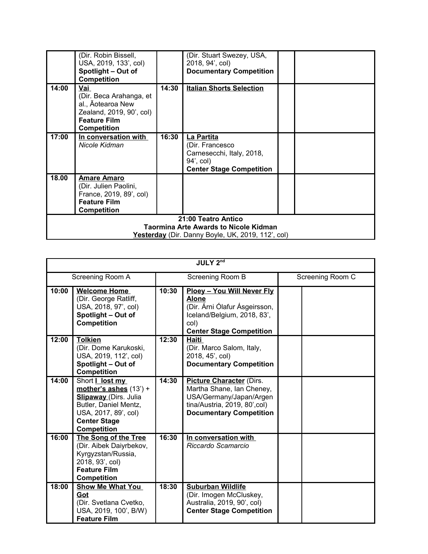|       | (Dir. Robin Bissell,                         |       | (Dir. Stuart Swezey, USA,                         |  |  |  |
|-------|----------------------------------------------|-------|---------------------------------------------------|--|--|--|
|       | USA, 2019, 133', col)                        |       | 2018, 94', col)                                   |  |  |  |
|       | Spotlight - Out of                           |       | <b>Documentary Competition</b>                    |  |  |  |
|       | <b>Competition</b>                           |       |                                                   |  |  |  |
| 14:00 | Vai                                          | 14:30 | <b>Italian Shorts Selection</b>                   |  |  |  |
|       | (Dir. Beca Arahanga, et                      |       |                                                   |  |  |  |
|       | al., Aotearoa New                            |       |                                                   |  |  |  |
|       | Zealand, 2019, 90', col)                     |       |                                                   |  |  |  |
|       | <b>Feature Film</b>                          |       |                                                   |  |  |  |
|       | <b>Competition</b>                           |       |                                                   |  |  |  |
| 17:00 | In conversation with                         | 16:30 | La Partita                                        |  |  |  |
|       | Nicole Kidman                                |       | (Dir. Francesco                                   |  |  |  |
|       |                                              |       | Carnesecchi, Italy, 2018,                         |  |  |  |
|       |                                              |       | 94', col)                                         |  |  |  |
|       |                                              |       | <b>Center Stage Competition</b>                   |  |  |  |
| 18.00 | <b>Amare Amaro</b>                           |       |                                                   |  |  |  |
|       | (Dir. Julien Paolini,                        |       |                                                   |  |  |  |
|       | France, 2019, 89', col)                      |       |                                                   |  |  |  |
|       | <b>Feature Film</b>                          |       |                                                   |  |  |  |
|       | <b>Competition</b>                           |       |                                                   |  |  |  |
|       | 21:00 Teatro Antico                          |       |                                                   |  |  |  |
|       | <b>Taormina Arte Awards to Nicole Kidman</b> |       |                                                   |  |  |  |
|       |                                              |       | Yesterday (Dir. Danny Boyle, UK, 2019, 112', col) |  |  |  |

| <b>JULY 2nd</b> |                                                                                                                                                                           |       |                                                                                                                                                              |                  |  |
|-----------------|---------------------------------------------------------------------------------------------------------------------------------------------------------------------------|-------|--------------------------------------------------------------------------------------------------------------------------------------------------------------|------------------|--|
|                 | Screening Room A                                                                                                                                                          |       | Screening Room B                                                                                                                                             | Screening Room C |  |
| 10:00           | <b>Welcome Home</b><br>(Dir. George Ratliff,<br>USA, 2018, 97', col)<br>Spotlight - Out of<br><b>Competition</b>                                                          | 10:30 | <b>Ploey - You Will Never Fly</b><br><b>Alone</b><br>(Dir. Árni Ólafur Ásgeirsson,<br>Iceland/Belgium, 2018, 83',<br>col)<br><b>Center Stage Competition</b> |                  |  |
| 12:00           | <b>Tolkien</b><br>(Dir. Dome Karukoski,<br>USA, 2019, 112', col)<br>Spotlight - Out of<br><b>Competition</b>                                                              | 12:30 | <b>Haiti</b><br>(Dir. Marco Salom, Italy,<br>2018, 45', col)<br><b>Documentary Competition</b>                                                               |                  |  |
| 14:00           | Short   lost my<br>mother's ashes $(13') +$<br><b>Slipaway</b> (Dirs. Julia<br>Butler, Daniel Mentz,<br>USA, 2017, 89', col)<br><b>Center Stage</b><br><b>Competition</b> | 14:30 | <b>Picture Character (Dirs.</b><br>Martha Shane, Ian Cheney,<br>USA/Germany/Japan/Argen<br>tina/Austria, 2019, 80', col)<br><b>Documentary Competition</b>   |                  |  |
| 16:00           | The Song of the Tree<br>(Dir. Aibek Daiyrbekov,<br>Kyrgyzstan/Russia,<br>2018, 93', col)<br><b>Feature Film</b><br><b>Competition</b>                                     | 16:30 | In conversation with<br>Riccardo Scamarcio                                                                                                                   |                  |  |
| 18:00           | <b>Show Me What You</b><br>Got<br>(Dir. Svetlana Cvetko,<br>USA, 2019, 100', B/W)<br><b>Feature Film</b>                                                                  | 18:30 | <b>Suburban Wildlife</b><br>(Dir. Imogen McCluskey,<br>Australia, 2019, 90', col)<br><b>Center Stage Competition</b>                                         |                  |  |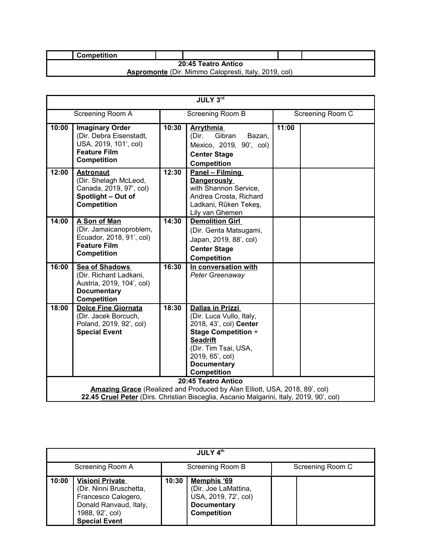|                                                             | <b>Competition</b> |  |  |  |  |
|-------------------------------------------------------------|--------------------|--|--|--|--|
| <b>20:45 Teatro Antico</b>                                  |                    |  |  |  |  |
| <b>Aspromonte</b> (Dir. Mimmo Calopresti, Italy, 2019, col) |                    |  |  |  |  |

| JULY 3rd |                                                                                                                          |       |                                                                                                                                                                                                                       |       |                  |
|----------|--------------------------------------------------------------------------------------------------------------------------|-------|-----------------------------------------------------------------------------------------------------------------------------------------------------------------------------------------------------------------------|-------|------------------|
|          | Screening Room A                                                                                                         |       | Screening Room B                                                                                                                                                                                                      |       | Screening Room C |
| 10:00    | <b>Imaginary Order</b><br>(Dir. Debra Eisenstadt,<br>USA, 2019, 101', col)<br><b>Feature Film</b><br><b>Competition</b>  | 10:30 | <b>Arrythmia</b><br>Gibran<br>(Dir.<br>Bazan,<br>Mexico, 2019, 90', col)<br><b>Center Stage</b><br><b>Competition</b>                                                                                                 | 11:00 |                  |
| 12:00    | <b>Astronaut</b><br>(Dir. Shelagh McLeod,<br>Canada, 2019, 97', col)<br>Spotlight - Out of<br>Competition                | 12:30 | Panel - Filming<br><b>Dangerously</b><br>with Shannon Service,<br>Andrea Crosta, Richard<br>Ladkani, Rûken Tekeş,<br>Lily van Ghemen                                                                                  |       |                  |
| 14:00    | A Son of Man<br>(Dir. Jamaicanoproblem,<br>Ecuador, 2018, 91', col)<br><b>Feature Film</b><br>Competition                | 14:30 | <b>Demolition Girl</b><br>(Dir. Genta Matsugami,<br>Japan, 2019, 88', col)<br><b>Center Stage</b><br><b>Competition</b>                                                                                               |       |                  |
| 16:00    | <b>Sea of Shadows</b><br>(Dir. Richard Ladkani,<br>Austria, 2019, 104', col)<br><b>Documentary</b><br><b>Competition</b> | 16:30 | In conversation with<br>Peter Greenaway                                                                                                                                                                               |       |                  |
| 18:00    | <b>Dolce Fine Giornata</b><br>(Dir. Jacek Borcuch,<br>Poland, 2019, 92', col)<br><b>Special Event</b>                    | 18:30 | <b>Dallas in Prizzi</b><br>(Dir. Luca Vullo, Italy,<br>2018, 43', col) Center<br><b>Stage Competition +</b><br><b>Seadrift</b><br>(Dir. Tim Tsai, USA,<br>2019, 65', col)<br><b>Documentary</b><br><b>Competition</b> |       |                  |
|          |                                                                                                                          |       | 20:45 Teatro Antico<br>Amazing Grace (Realized and Produced by Alan Elliott, USA, 2018, 89', col)<br>22.45 Cruel Peter (Dirs. Christian Bisceglia, Ascanio Malgarini, Italy, 2019, 90', col)                          |       |                  |

| JULY 4 <sup>th</sup> |                                                                                                                                               |                  |                                                                                                         |  |                  |
|----------------------|-----------------------------------------------------------------------------------------------------------------------------------------------|------------------|---------------------------------------------------------------------------------------------------------|--|------------------|
| Screening Room A     |                                                                                                                                               | Screening Room B |                                                                                                         |  | Screening Room C |
| 10:00                | <b>Visioni Private</b><br>(Dir. Ninni Bruschetta,<br>Francesco Calogero,<br>Donald Ranvaud, Italy,<br>1988, 92', col)<br><b>Special Event</b> | 10:30            | Memphis '69<br>(Dir. Joe LaMattina,<br>USA, 2019, 72', col)<br><b>Documentary</b><br><b>Competition</b> |  |                  |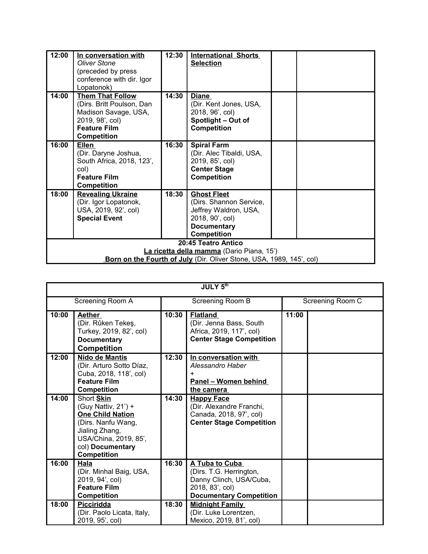| 12:00                                                            | In conversation with<br><b>Oliver Stone</b><br>(preceded by press<br>conference with dir. Igor<br>Lopatonok)                                 | 12:30 | <b>International Shorts</b><br><b>Selection</b>                                                                                       |  |  |
|------------------------------------------------------------------|----------------------------------------------------------------------------------------------------------------------------------------------|-------|---------------------------------------------------------------------------------------------------------------------------------------|--|--|
| 14:00                                                            | <b>Them That Follow</b><br>(Dirs. Britt Poulson, Dan<br>Madison Savage, USA,<br>2019, 98', col)<br><b>Feature Film</b><br><b>Competition</b> | 14:30 | <b>Diane</b><br>(Dir. Kent Jones, USA,<br>2018, 96', col)<br>Spotlight - Out of<br><b>Competition</b>                                 |  |  |
| 16:00                                                            | Ellen<br>(Dir. Daryne Joshua,<br>South Africa, 2018, 123',<br>col)<br><b>Feature Film</b><br><b>Competition</b>                              | 16:30 | <b>Spiral Farm</b><br>(Dir. Alec Tibaldi, USA,<br>2019, 85', col)<br><b>Center Stage</b><br><b>Competition</b>                        |  |  |
| 18:00                                                            | <b>Revealing Ukraine</b><br>(Dir. Igor Lopatonok,<br>USA, 2019, 92', col)<br><b>Special Event</b>                                            | 18:30 | <b>Ghost Fleet</b><br>(Dirs. Shannon Service,<br>Jeffrey Waldron, USA,<br>2018, 90', col)<br><b>Documentary</b><br><b>Competition</b> |  |  |
| 20:45 Teatro Antico<br>La ricetta della mamma (Dario Piana, 15') |                                                                                                                                              |       |                                                                                                                                       |  |  |
|                                                                  |                                                                                                                                              |       | Born on the Fourth of July (Dir. Oliver Stone, USA, 1989, 145', col)                                                                  |  |  |

| <b>JULY 5th</b> |                                                                                                                                                                         |       |                                                                                                                           |       |                  |
|-----------------|-------------------------------------------------------------------------------------------------------------------------------------------------------------------------|-------|---------------------------------------------------------------------------------------------------------------------------|-------|------------------|
|                 | Screening Room A                                                                                                                                                        |       | Screening Room B                                                                                                          |       | Screening Room C |
| 10:00           | <b>Aether</b><br>(Dir. Rûken Tekeş,<br>Turkey, 2019, 82', col)<br><b>Documentary</b><br><b>Competition</b>                                                              | 10:30 | <b>Flatland</b><br>(Dir. Jenna Bass, South<br>Africa, 2019, 117', col)<br><b>Center Stage Competition</b>                 | 11:00 |                  |
| 12:00           | <b>Nido de Mantis</b><br>(Dir. Arturo Sotto Díaz,<br>Cuba, 2018, 118', col)<br><b>Feature Film</b><br><b>Competition</b>                                                | 12:30 | In conversation with<br>Alessandro Haber<br>+<br>Panel - Women behind<br>the camera                                       |       |                  |
| 14:00           | Short Skin<br>(Guy Nattiv, 21') +<br><b>One Child Nation</b><br>(Dirs. Nanfu Wang,<br>Jialing Zhang,<br>USA/China, 2019, 85',<br>col) Documentary<br><b>Competition</b> | 14:30 | <b>Happy Face</b><br>(Dir. Alexandre Franchi,<br>Canada, 2018, 97', col)<br><b>Center Stage Competition</b>               |       |                  |
| 16:00           | Hala<br>(Dir. Minhal Baig, USA,<br>2019, 94', col)<br><b>Feature Film</b><br><b>Competition</b>                                                                         | 16:30 | A Tuba to Cuba<br>(Dirs. T.G. Herrington,<br>Danny Clinch, USA/Cuba,<br>2018, 83', col)<br><b>Documentary Competition</b> |       |                  |
| 18:00           | Picciridda<br>(Dir. Paolo Licata, Italy,<br>2019, 95', col)                                                                                                             | 18:30 | <b>Midnight Family</b><br>(Dir. Luke Lorentzen,<br>Mexico, 2019, 81', col)                                                |       |                  |